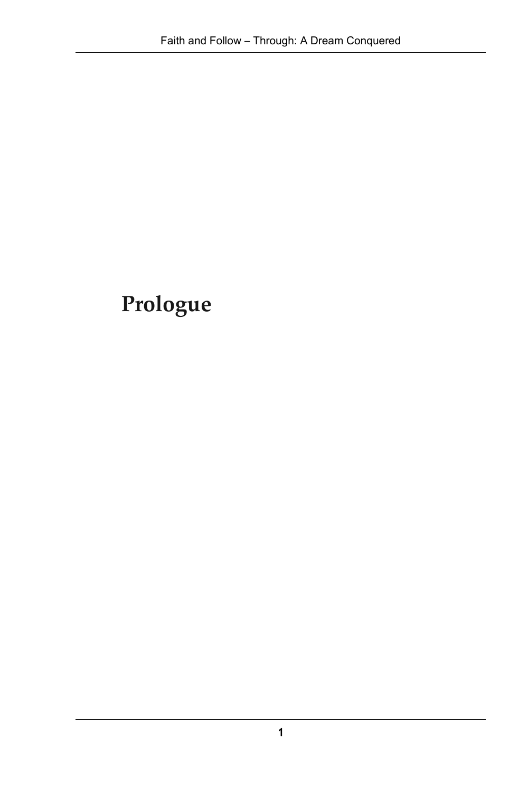# **Prologue**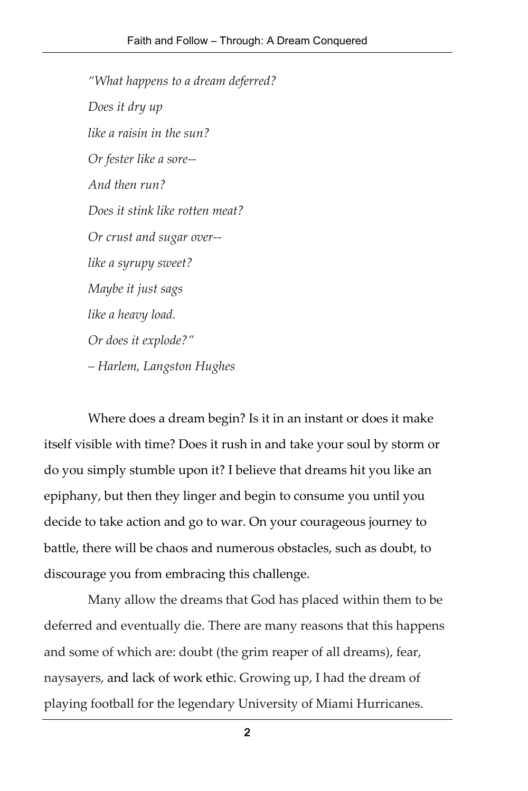*"What happens to a dream deferred? Does it dry up like a raisin in the sun? Or fester like a sore-- And then run? Does it stink like rotten meat? Or crust and sugar over- like a syrupy sweet? Maybe it just sags like a heavy load. Or does it explode?" – Harlem, Langston Hughes*

Where does a dream begin? Is it in an instant or does it make itself visible with time? Does it rush in and take your soul by storm or do you simply stumble upon it? I believe that dreams hit you like an epiphany, but then they linger and begin to consume you until you decide to take action and go to war. On your courageous journey to battle, there will be chaos and numerous obstacles, such as doubt, to discourage you from embracing this challenge.

Many allow the dreams that God has placed within them to be deferred and eventually die. There are many reasons that this happens and some of which are: doubt (the grim reaper of all dreams), fear, naysayers, and lack of work ethic. Growing up, I had the dream of playing football for the legendary University of Miami Hurricanes.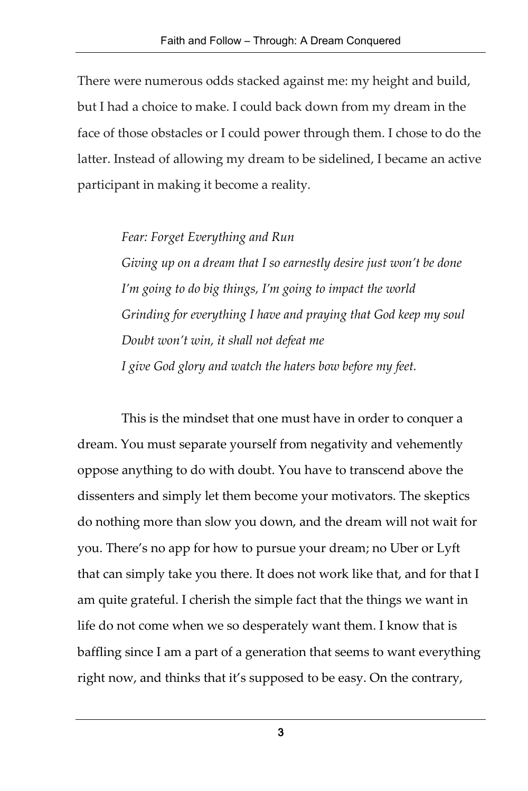There were numerous odds stacked against me: my height and build, but I had a choice to make. I could back down from my dream in the face of those obstacles or I could power through them. I chose to do the latter. Instead of allowing my dream to be sidelined, I became an active participant in making it become a reality.

*Fear: Forget Everything and Run*

*Giving up on a dream that I so earnestly desire just won't be done I'm going to do big things, I'm going to impact the world Grinding for everything I have and praying that God keep my soul Doubt won't win, it shall not defeat me I give God glory and watch the haters bow before my feet.*

This is the mindset that one must have in order to conquer a dream. You must separate yourself from negativity and vehemently oppose anything to do with doubt. You have to transcend above the dissenters and simply let them become your motivators. The skeptics do nothing more than slow you down, and the dream will not wait for you. There's no app for how to pursue your dream; no Uber or Lyft that can simply take you there. It does not work like that, and for that I am quite grateful. I cherish the simple fact that the things we want in life do not come when we so desperately want them. I know that is baffling since I am a part of a generation that seems to want everything right now, and thinks that it's supposed to be easy. On the contrary,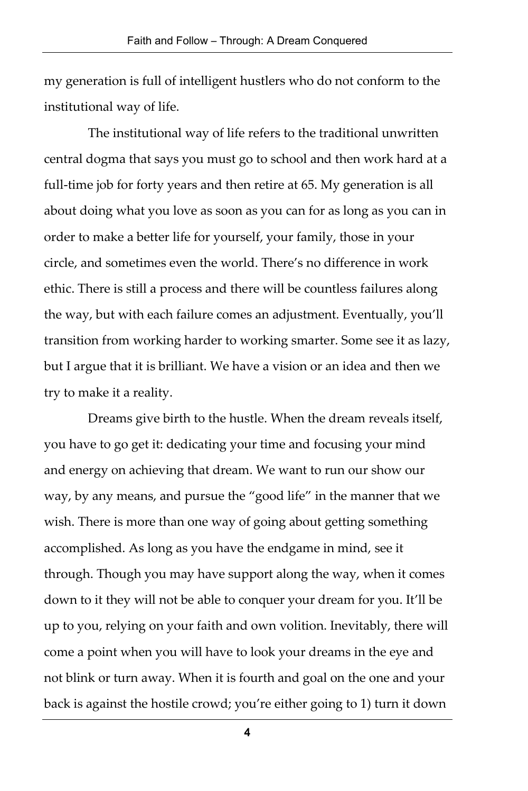my generation is full of intelligent hustlers who do not conform to the institutional way of life.

The institutional way of life refers to the traditional unwritten central dogma that says you must go to school and then work hard at a full-time job for forty years and then retire at 65. My generation is all about doing what you love as soon as you can for as long as you can in order to make a better life for yourself, your family, those in your circle, and sometimes even the world. There's no difference in work ethic. There is still a process and there will be countless failures along the way, but with each failure comes an adjustment. Eventually, you'll transition from working harder to working smarter. Some see it as lazy, but I argue that it is brilliant. We have a vision or an idea and then we try to make it a reality.

Dreams give birth to the hustle. When the dream reveals itself, you have to go get it: dedicating your time and focusing your mind and energy on achieving that dream. We want to run our show our way, by any means, and pursue the "good life" in the manner that we wish. There is more than one way of going about getting something accomplished. As long as you have the endgame in mind, see it through. Though you may have support along the way, when it comes down to it they will not be able to conquer your dream for you. It'll be up to you, relying on your faith and own volition. Inevitably, there will come a point when you will have to look your dreams in the eye and not blink or turn away. When it is fourth and goal on the one and your back is against the hostile crowd; you're either going to 1) turn it down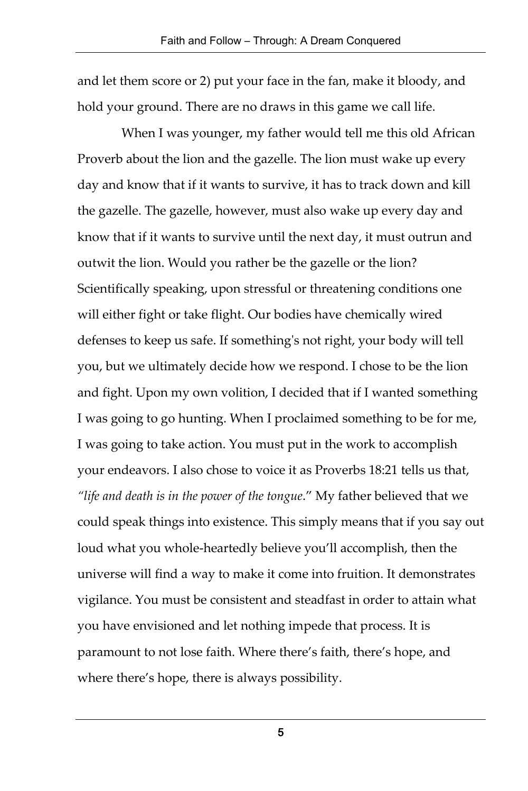and let them score or 2) put your face in the fan, make it bloody, and hold your ground. There are no draws in this game we call life.

When I was younger, my father would tell me this old African Proverb about the lion and the gazelle. The lion must wake up every day and know that if it wants to survive, it has to track down and kill the gazelle. The gazelle, however, must also wake up every day and know that if it wants to survive until the next day, it must outrun and outwit the lion. Would you rather be the gazelle or the lion? Scientifically speaking, upon stressful or threatening conditions one will either fight or take flight. Our bodies have chemically wired defenses to keep us safe. If something's not right, your body will tell you, but we ultimately decide how we respond. I chose to be the lion and fight. Upon my own volition, I decided that if I wanted something I was going to go hunting. When I proclaimed something to be for me, I was going to take action. You must put in the work to accomplish your endeavors. I also chose to voice it as Proverbs 18:21 tells us that, *"life and death is in the power of the tongue*." My father believed that we could speak things into existence. This simply means that if you say out loud what you whole-heartedly believe you'll accomplish, then the universe will find a way to make it come into fruition. It demonstrates vigilance. You must be consistent and steadfast in order to attain what you have envisioned and let nothing impede that process. It is paramount to not lose faith. Where there's faith, there's hope, and where there's hope, there is always possibility.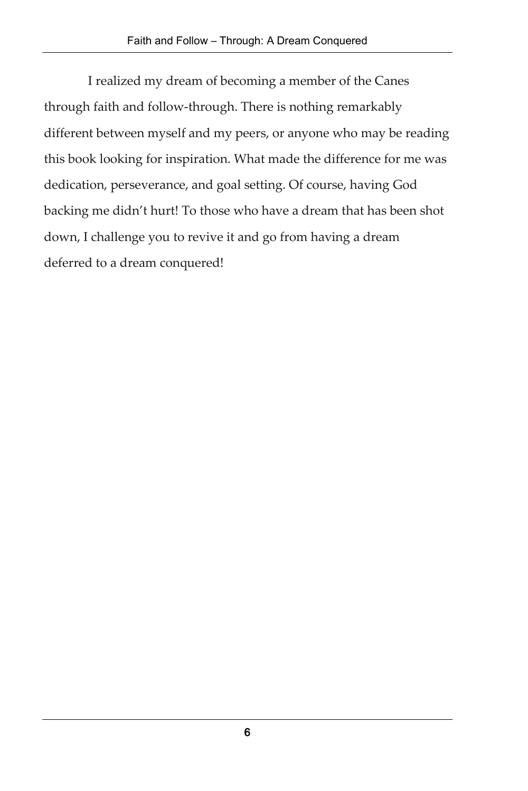I realized my dream of becoming a member of the Canes through faith and follow-through. There is nothing remarkably different between myself and my peers, or anyone who may be reading this book looking for inspiration. What made the difference for me was dedication, perseverance, and goal setting. Of course, having God backing me didn't hurt! To those who have a dream that has been shot down, I challenge you to revive it and go from having a dream deferred to a dream conquered!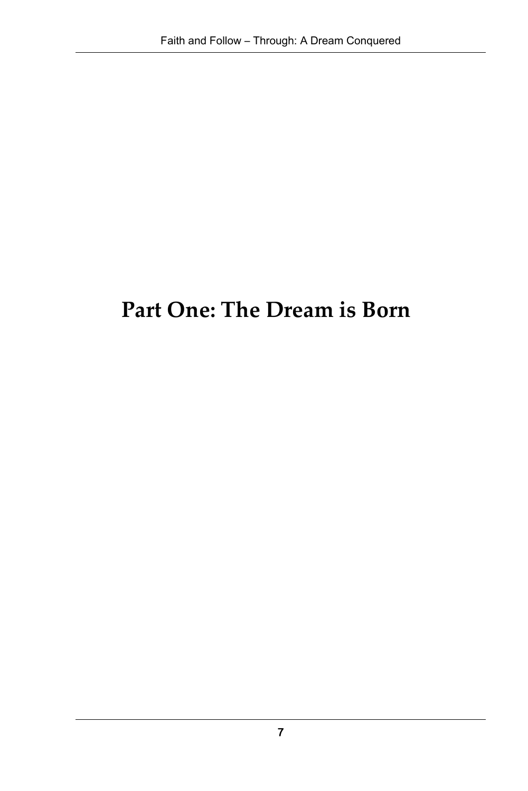## **Part One: The Dream is Born**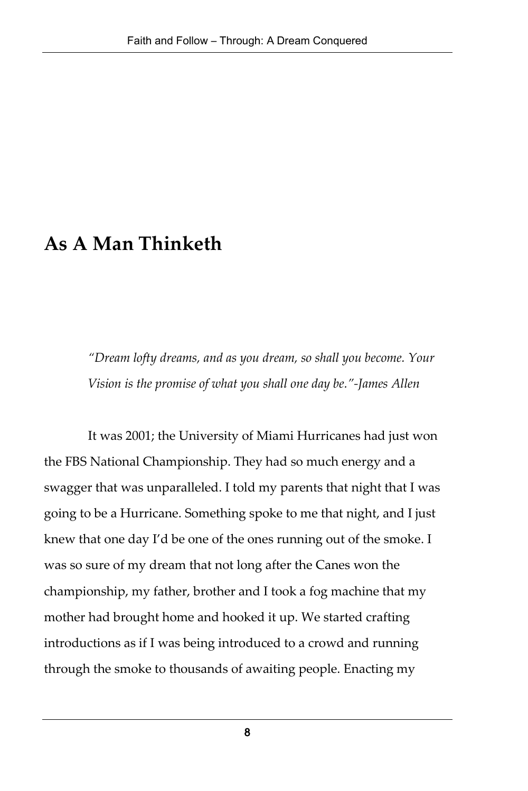### **As A Man Thinketh**

*"Dream lofty dreams, and as you dream, so shall you become. Your Vision is the promise of what you shall one day be."-James Allen*

It was 2001; the University of Miami Hurricanes had just won the FBS National Championship. They had so much energy and a swagger that was unparalleled. I told my parents that night that I was going to be a Hurricane. Something spoke to me that night, and I just knew that one day I'd be one of the ones running out of the smoke. I was so sure of my dream that not long after the Canes won the championship, my father, brother and I took a fog machine that my mother had brought home and hooked it up. We started crafting introductions as if I was being introduced to a crowd and running through the smoke to thousands of awaiting people. Enacting my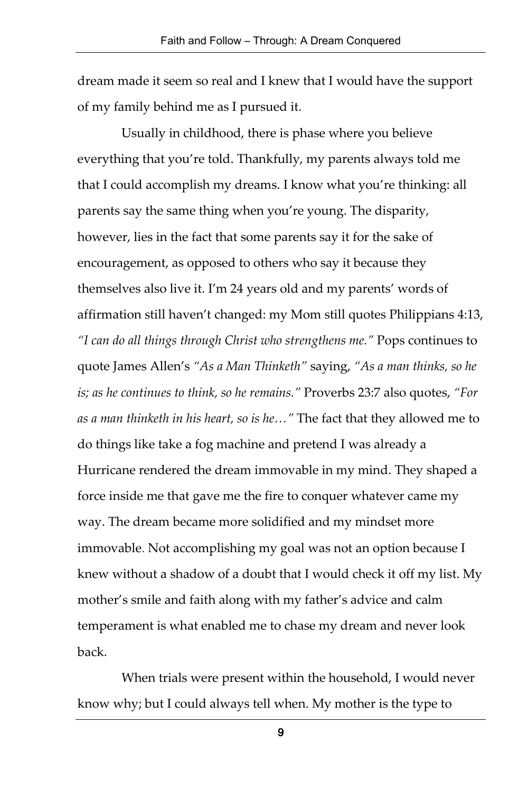dream made it seem so real and I knew that I would have the support of my family behind me as I pursued it.

Usually in childhood, there is phase where you believe everything that you're told. Thankfully, my parents always told me that I could accomplish my dreams. I know what you're thinking: all parents say the same thing when you're young. The disparity, however, lies in the fact that some parents say it for the sake of encouragement, as opposed to others who say it because they themselves also live it. I'm 24 years old and my parents' words of affirmation still haven't changed: my Mom still quotes Philippians 4:13, *"I can do all things through Christ who strengthens me."* Pops continues to quote James Allen's *"As a Man Thinketh"* saying, *"As a man thinks, so he is; as he continues to think, so he remains."* Proverbs 23:7 also quotes, *"For as a man thinketh in his heart, so is he…"* The fact that they allowed me to do things like take a fog machine and pretend I was already a Hurricane rendered the dream immovable in my mind. They shaped a force inside me that gave me the fire to conquer whatever came my way. The dream became more solidified and my mindset more immovable. Not accomplishing my goal was not an option because I knew without a shadow of a doubt that I would check it off my list. My mother's smile and faith along with my father's advice and calm temperament is what enabled me to chase my dream and never look back.

When trials were present within the household, I would never know why; but I could always tell when. My mother is the type to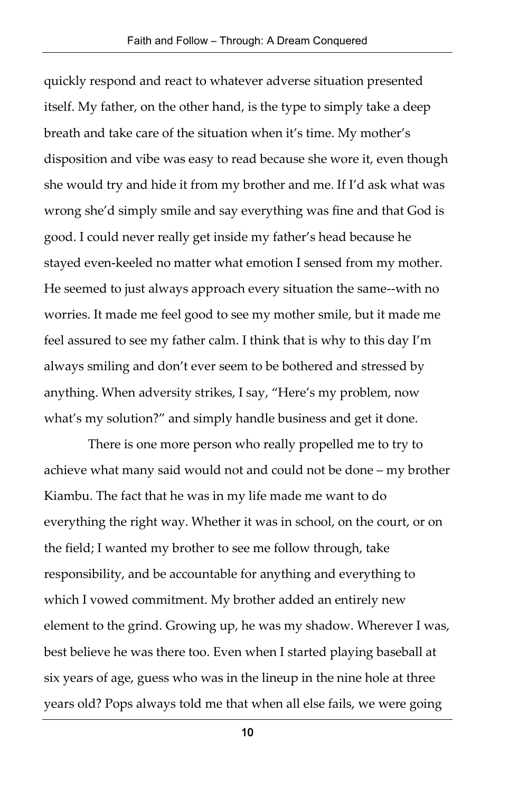quickly respond and react to whatever adverse situation presented itself. My father, on the other hand, is the type to simply take a deep breath and take care of the situation when it's time. My mother's disposition and vibe was easy to read because she wore it, even though she would try and hide it from my brother and me. If I'd ask what was wrong she'd simply smile and say everything was fine and that God is good. I could never really get inside my father's head because he stayed even-keeled no matter what emotion I sensed from my mother. He seemed to just always approach every situation the same--with no worries. It made me feel good to see my mother smile, but it made me feel assured to see my father calm. I think that is why to this day I'm always smiling and don't ever seem to be bothered and stressed by anything. When adversity strikes, I say, "Here's my problem, now what's my solution?" and simply handle business and get it done.

There is one more person who really propelled me to try to achieve what many said would not and could not be done – my brother Kiambu. The fact that he was in my life made me want to do everything the right way. Whether it was in school, on the court, or on the field; I wanted my brother to see me follow through, take responsibility, and be accountable for anything and everything to which I vowed commitment. My brother added an entirely new element to the grind. Growing up, he was my shadow. Wherever I was, best believe he was there too. Even when I started playing baseball at six years of age, guess who was in the lineup in the nine hole at three years old? Pops always told me that when all else fails, we were going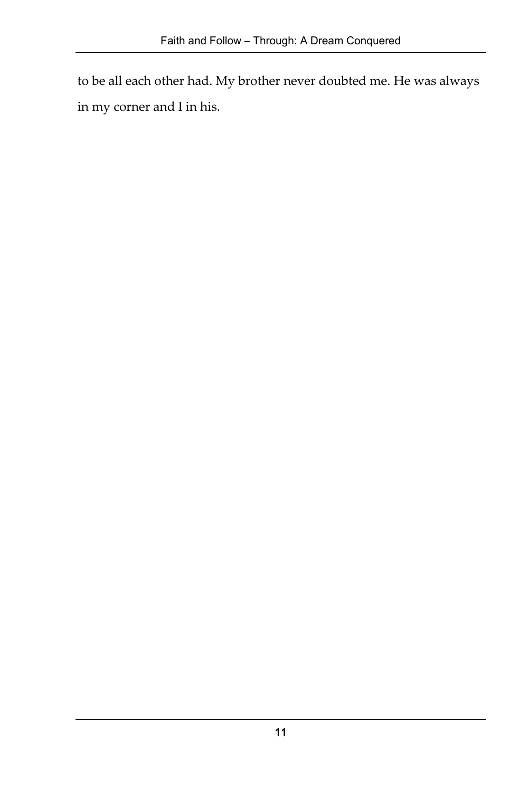to be all each other had. My brother never doubted me. He was always in my corner and I in his.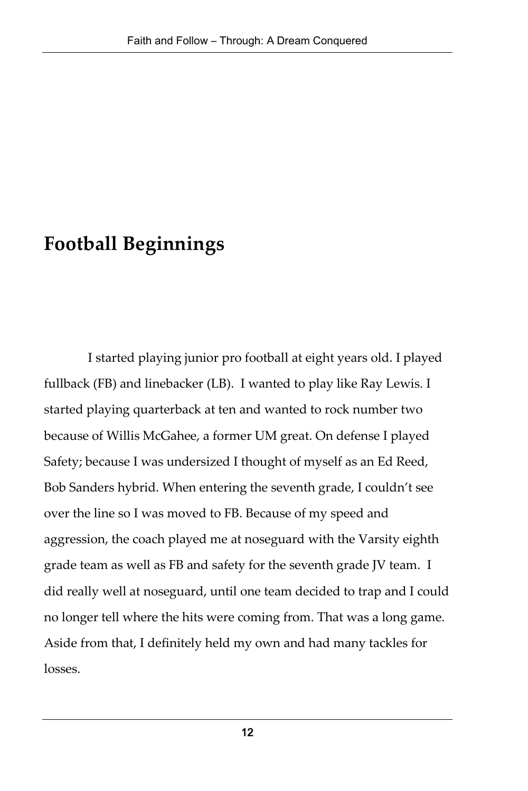## **Football Beginnings**

I started playing junior pro football at eight years old. I played fullback (FB) and linebacker (LB). I wanted to play like Ray Lewis. I started playing quarterback at ten and wanted to rock number two because of Willis McGahee, a former UM great. On defense I played Safety; because I was undersized I thought of myself as an Ed Reed, Bob Sanders hybrid. When entering the seventh grade, I couldn't see over the line so I was moved to FB. Because of my speed and aggression, the coach played me at noseguard with the Varsity eighth grade team as well as FB and safety for the seventh grade JV team. I did really well at noseguard, until one team decided to trap and I could no longer tell where the hits were coming from. That was a long game. Aside from that, I definitely held my own and had many tackles for losses.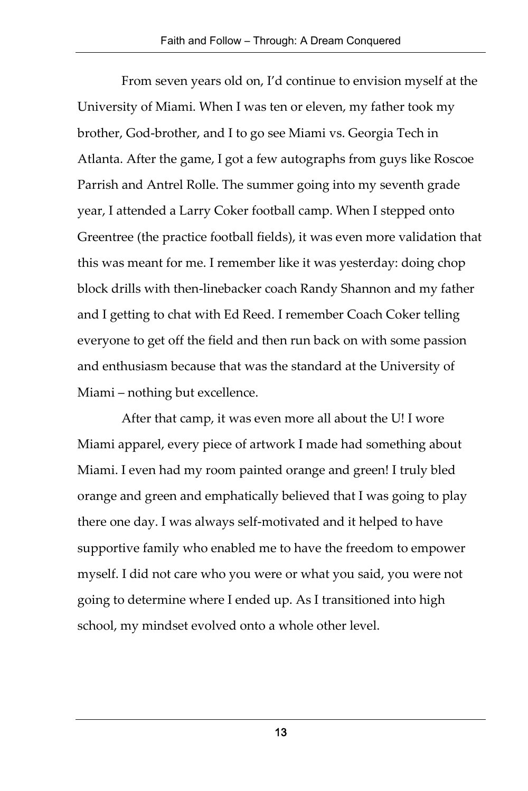From seven years old on, I'd continue to envision myself at the University of Miami. When I was ten or eleven, my father took my brother, God-brother, and I to go see Miami vs. Georgia Tech in Atlanta. After the game, I got a few autographs from guys like Roscoe Parrish and Antrel Rolle. The summer going into my seventh grade year, I attended a Larry Coker football camp. When I stepped onto Greentree (the practice football fields), it was even more validation that this was meant for me. I remember like it was yesterday: doing chop block drills with then-linebacker coach Randy Shannon and my father and I getting to chat with Ed Reed. I remember Coach Coker telling everyone to get off the field and then run back on with some passion and enthusiasm because that was the standard at the University of Miami – nothing but excellence.

After that camp, it was even more all about the U! I wore Miami apparel, every piece of artwork I made had something about Miami. I even had my room painted orange and green! I truly bled orange and green and emphatically believed that I was going to play there one day. I was always self-motivated and it helped to have supportive family who enabled me to have the freedom to empower myself. I did not care who you were or what you said, you were not going to determine where I ended up. As I transitioned into high school, my mindset evolved onto a whole other level.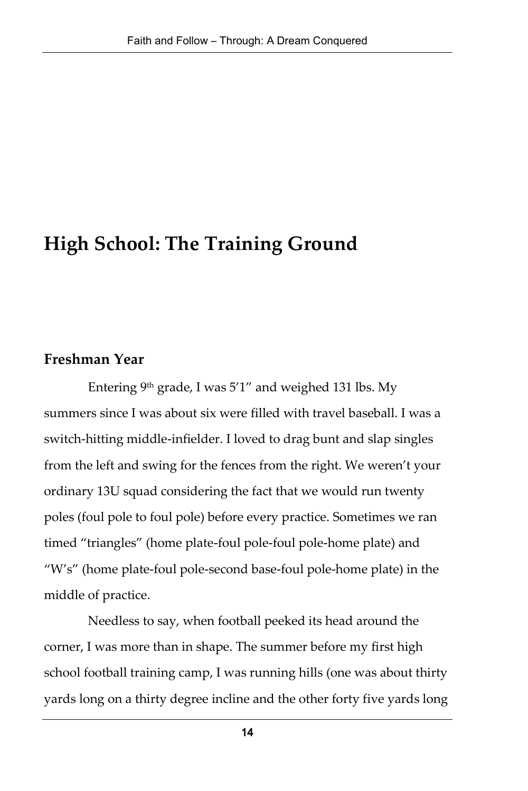### **High School: The Training Ground**

#### **Freshman Year**

Entering  $9<sup>th</sup>$  grade, I was  $5'1''$  and weighed 131 lbs. My summers since I was about six were filled with travel baseball. I was a switch-hitting middle-infielder. I loved to drag bunt and slap singles from the left and swing for the fences from the right. We weren't your ordinary 13U squad considering the fact that we would run twenty poles (foul pole to foul pole) before every practice. Sometimes we ran timed "triangles" (home plate-foul pole-foul pole-home plate) and "W's" (home plate-foul pole-second base-foul pole-home plate) in the middle of practice.

Needless to say, when football peeked its head around the corner, I was more than in shape. The summer before my first high school football training camp, I was running hills (one was about thirty yards long on a thirty degree incline and the other forty five yards long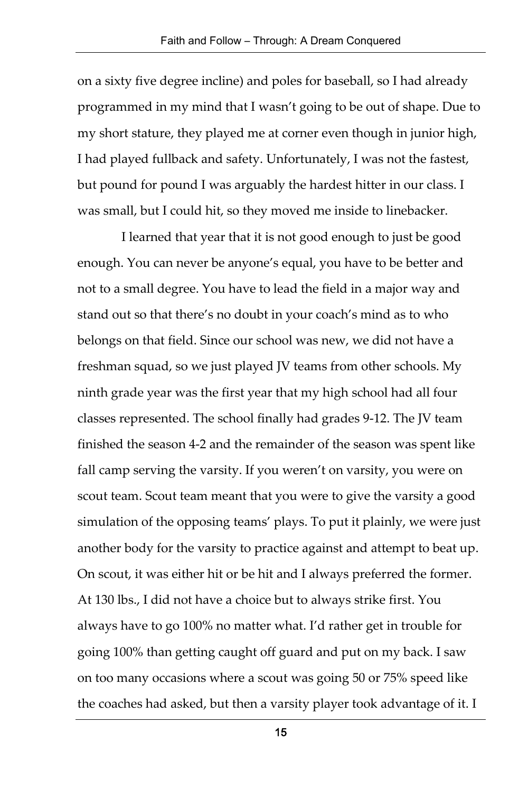on a sixty five degree incline) and poles for baseball, so I had already programmed in my mind that I wasn't going to be out of shape. Due to my short stature, they played me at corner even though in junior high, I had played fullback and safety. Unfortunately, I was not the fastest, but pound for pound I was arguably the hardest hitter in our class. I was small, but I could hit, so they moved me inside to linebacker.

I learned that year that it is not good enough to just be good enough. You can never be anyone's equal, you have to be better and not to a small degree. You have to lead the field in a major way and stand out so that there's no doubt in your coach's mind as to who belongs on that field. Since our school was new, we did not have a freshman squad, so we just played JV teams from other schools. My ninth grade year was the first year that my high school had all four classes represented. The school finally had grades 9-12. The JV team finished the season 4-2 and the remainder of the season was spent like fall camp serving the varsity. If you weren't on varsity, you were on scout team. Scout team meant that you were to give the varsity a good simulation of the opposing teams' plays. To put it plainly, we were just another body for the varsity to practice against and attempt to beat up. On scout, it was either hit or be hit and I always preferred the former. At 130 lbs., I did not have a choice but to always strike first. You always have to go 100% no matter what. I'd rather get in trouble for going 100% than getting caught off guard and put on my back. I saw on too many occasions where a scout was going 50 or 75% speed like the coaches had asked, but then a varsity player took advantage of it. I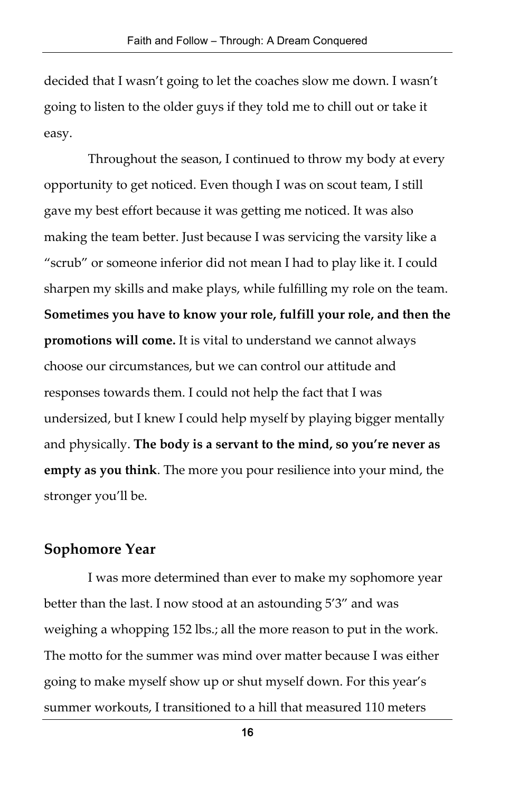decided that I wasn't going to let the coaches slow me down. I wasn't going to listen to the older guys if they told me to chill out or take it easy.

Throughout the season, I continued to throw my body at every opportunity to get noticed. Even though I was on scout team, I still gave my best effort because it was getting me noticed. It was also making the team better. Just because I was servicing the varsity like a "scrub" or someone inferior did not mean I had to play like it. I could sharpen my skills and make plays, while fulfilling my role on the team. **Sometimes you have to know your role, fulfill your role, and then the promotions will come.** It is vital to understand we cannot always choose our circumstances, but we can control our attitude and responses towards them. I could not help the fact that I was undersized, but I knew I could help myself by playing bigger mentally and physically. **The body is a servant to the mind, so you're never as empty as you think**. The more you pour resilience into your mind, the stronger you'll be.

#### **Sophomore Year**

I was more determined than ever to make my sophomore year better than the last. I now stood at an astounding 5'3" and was weighing a whopping 152 lbs.; all the more reason to put in the work. The motto for the summer was mind over matter because I was either going to make myself show up or shut myself down. For this year's summer workouts, I transitioned to a hill that measured 110 meters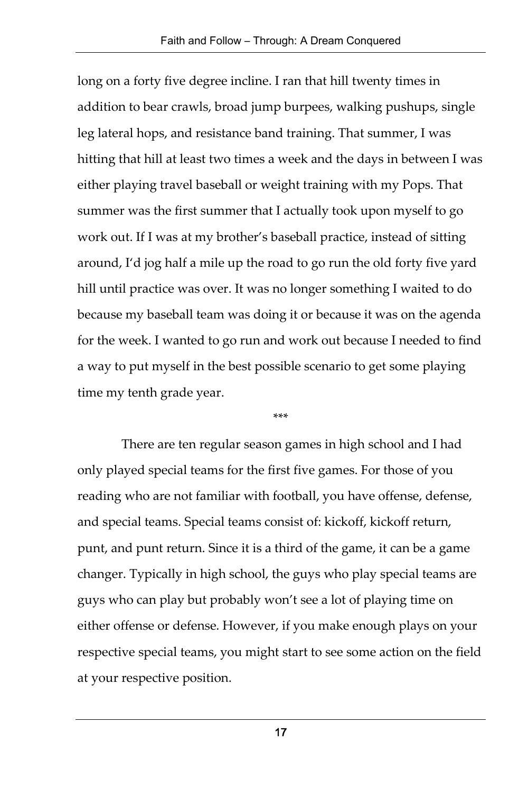long on a forty five degree incline. I ran that hill twenty times in addition to bear crawls, broad jump burpees, walking pushups, single leg lateral hops, and resistance band training. That summer, I was hitting that hill at least two times a week and the days in between I was either playing travel baseball or weight training with my Pops. That summer was the first summer that I actually took upon myself to go work out. If I was at my brother's baseball practice, instead of sitting around, I'd jog half a mile up the road to go run the old forty five yard hill until practice was over. It was no longer something I waited to do because my baseball team was doing it or because it was on the agenda for the week. I wanted to go run and work out because I needed to find a way to put myself in the best possible scenario to get some playing time my tenth grade year.

\*\*\*

There are ten regular season games in high school and I had only played special teams for the first five games. For those of you reading who are not familiar with football, you have offense, defense, and special teams. Special teams consist of: kickoff, kickoff return, punt, and punt return. Since it is a third of the game, it can be a game changer. Typically in high school, the guys who play special teams are guys who can play but probably won't see a lot of playing time on either offense or defense. However, if you make enough plays on your respective special teams, you might start to see some action on the field at your respective position.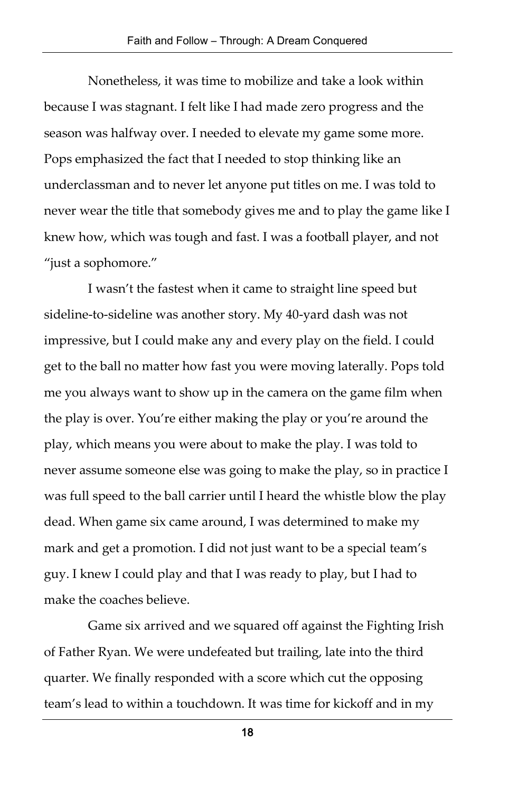Nonetheless, it was time to mobilize and take a look within because I was stagnant. I felt like I had made zero progress and the season was halfway over. I needed to elevate my game some more. Pops emphasized the fact that I needed to stop thinking like an underclassman and to never let anyone put titles on me. I was told to never wear the title that somebody gives me and to play the game like I knew how, which was tough and fast. I was a football player, and not "just a sophomore."

I wasn't the fastest when it came to straight line speed but sideline-to-sideline was another story. My 40-yard dash was not impressive, but I could make any and every play on the field. I could get to the ball no matter how fast you were moving laterally. Pops told me you always want to show up in the camera on the game film when the play is over. You're either making the play or you're around the play, which means you were about to make the play. I was told to never assume someone else was going to make the play, so in practice I was full speed to the ball carrier until I heard the whistle blow the play dead. When game six came around, I was determined to make my mark and get a promotion. I did not just want to be a special team's guy. I knew I could play and that I was ready to play, but I had to make the coaches believe.

Game six arrived and we squared off against the Fighting Irish of Father Ryan. We were undefeated but trailing, late into the third quarter. We finally responded with a score which cut the opposing team's lead to within a touchdown. It was time for kickoff and in my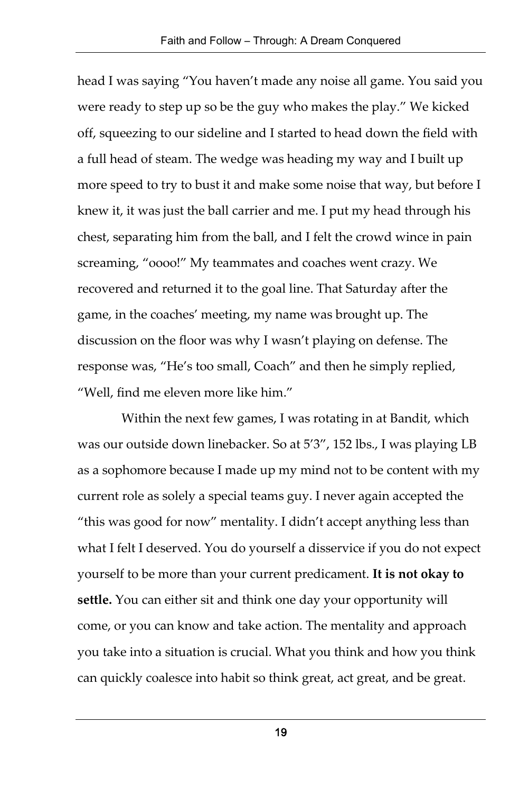head I was saying "You haven't made any noise all game. You said you were ready to step up so be the guy who makes the play." We kicked off, squeezing to our sideline and I started to head down the field with a full head of steam. The wedge was heading my way and I built up more speed to try to bust it and make some noise that way, but before I knew it, it was just the ball carrier and me. I put my head through his chest, separating him from the ball, and I felt the crowd wince in pain screaming, "oooo!" My teammates and coaches went crazy. We recovered and returned it to the goal line. That Saturday after the game, in the coaches' meeting, my name was brought up. The discussion on the floor was why I wasn't playing on defense. The response was, "He's too small, Coach" and then he simply replied, "Well, find me eleven more like him."

Within the next few games, I was rotating in at Bandit, which was our outside down linebacker. So at 5'3", 152 lbs., I was playing LB as a sophomore because I made up my mind not to be content with my current role as solely a special teams guy. I never again accepted the "this was good for now" mentality. I didn't accept anything less than what I felt I deserved. You do yourself a disservice if you do not expect yourself to be more than your current predicament. **It is not okay to settle.** You can either sit and think one day your opportunity will come, or you can know and take action. The mentality and approach you take into a situation is crucial. What you think and how you think can quickly coalesce into habit so think great, act great, and be great.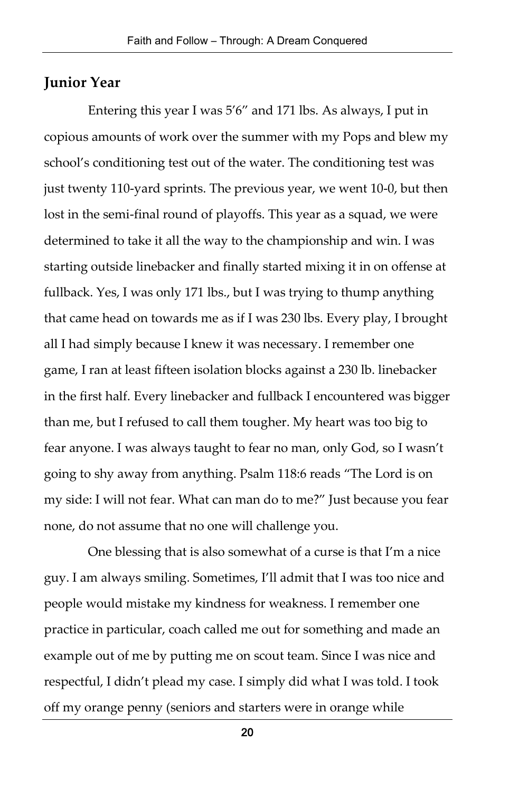### **Junior Year**

Entering this year I was 5'6" and 171 lbs. As always, I put in copious amounts of work over the summer with my Pops and blew my school's conditioning test out of the water. The conditioning test was just twenty 110-yard sprints. The previous year, we went 10-0, but then lost in the semi-final round of playoffs. This year as a squad, we were determined to take it all the way to the championship and win. I was starting outside linebacker and finally started mixing it in on offense at fullback. Yes, I was only 171 lbs., but I was trying to thump anything that came head on towards me as if I was 230 lbs. Every play, I brought all I had simply because I knew it was necessary. I remember one game, I ran at least fifteen isolation blocks against a 230 lb. linebacker in the first half. Every linebacker and fullback I encountered was bigger than me, but I refused to call them tougher. My heart was too big to fear anyone. I was always taught to fear no man, only God, so I wasn't going to shy away from anything. Psalm 118:6 reads "The Lord is on my side: I will not fear. What can man do to me?" Just because you fear none, do not assume that no one will challenge you.

One blessing that is also somewhat of a curse is that I'm a nice guy. I am always smiling. Sometimes, I'll admit that I was too nice and people would mistake my kindness for weakness. I remember one practice in particular, coach called me out for something and made an example out of me by putting me on scout team. Since I was nice and respectful, I didn't plead my case. I simply did what I was told. I took off my orange penny (seniors and starters were in orange while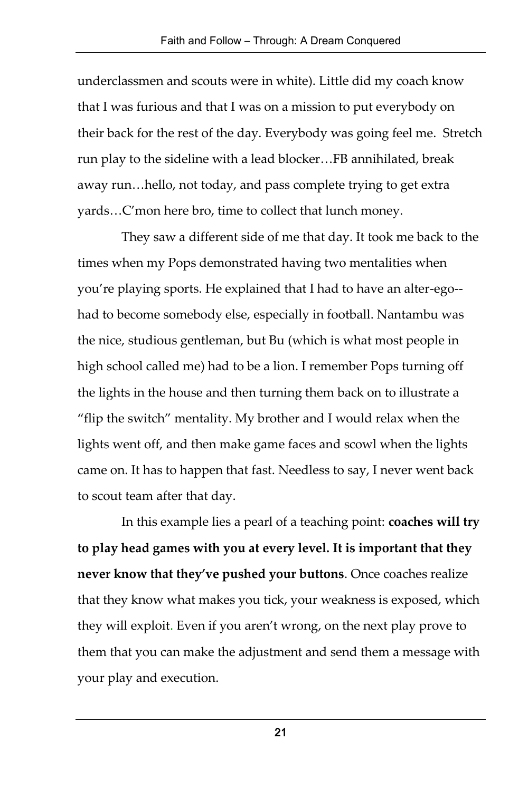underclassmen and scouts were in white). Little did my coach know that I was furious and that I was on a mission to put everybody on their back for the rest of the day. Everybody was going feel me. Stretch run play to the sideline with a lead blocker…FB annihilated, break away run…hello, not today, and pass complete trying to get extra yards…C'mon here bro, time to collect that lunch money.

They saw a different side of me that day. It took me back to the times when my Pops demonstrated having two mentalities when you're playing sports. He explained that I had to have an alter-ego- had to become somebody else, especially in football. Nantambu was the nice, studious gentleman, but Bu (which is what most people in high school called me) had to be a lion. I remember Pops turning off the lights in the house and then turning them back on to illustrate a "flip the switch" mentality. My brother and I would relax when the lights went off, and then make game faces and scowl when the lights came on. It has to happen that fast. Needless to say, I never went back to scout team after that day.

In this example lies a pearl of a teaching point: **coaches will try to play head games with you at every level. It is important that they never know that they've pushed your buttons**. Once coaches realize that they know what makes you tick, your weakness is exposed, which they will exploit. Even if you aren't wrong, on the next play prove to them that you can make the adjustment and send them a message with your play and execution.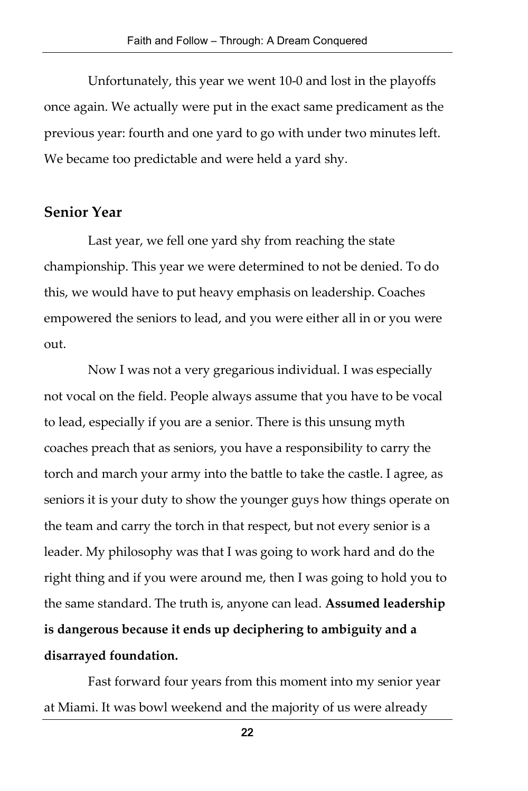Unfortunately, this year we went 10-0 and lost in the playoffs once again. We actually were put in the exact same predicament as the previous year: fourth and one yard to go with under two minutes left. We became too predictable and were held a yard shy.

### **Senior Year**

Last year, we fell one yard shy from reaching the state championship. This year we were determined to not be denied. To do this, we would have to put heavy emphasis on leadership. Coaches empowered the seniors to lead, and you were either all in or you were out.

Now I was not a very gregarious individual. I was especially not vocal on the field. People always assume that you have to be vocal to lead, especially if you are a senior. There is this unsung myth coaches preach that as seniors, you have a responsibility to carry the torch and march your army into the battle to take the castle. I agree, as seniors it is your duty to show the younger guys how things operate on the team and carry the torch in that respect, but not every senior is a leader. My philosophy was that I was going to work hard and do the right thing and if you were around me, then I was going to hold you to the same standard. The truth is, anyone can lead. **Assumed leadership is dangerous because it ends up deciphering to ambiguity and a disarrayed foundation.**

Fast forward four years from this moment into my senior year at Miami. It was bowl weekend and the majority of us were already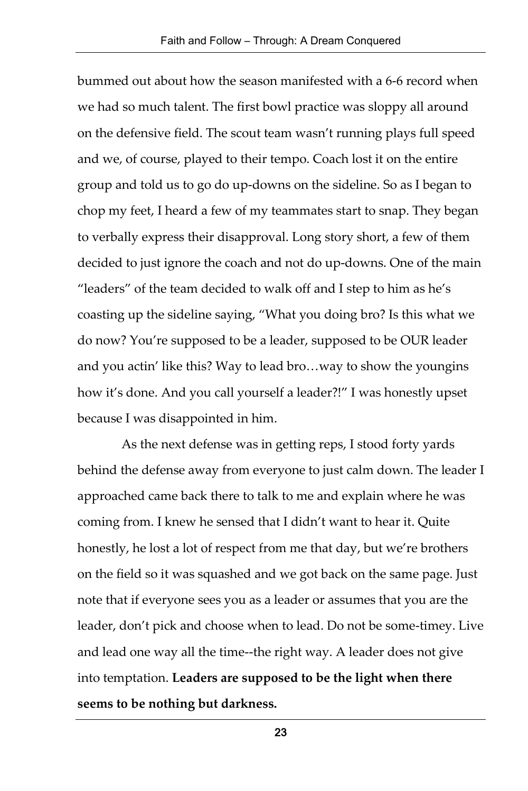bummed out about how the season manifested with a 6-6 record when we had so much talent. The first bowl practice was sloppy all around on the defensive field. The scout team wasn't running plays full speed and we, of course, played to their tempo. Coach lost it on the entire group and told us to go do up-downs on the sideline. So as I began to chop my feet, I heard a few of my teammates start to snap. They began to verbally express their disapproval. Long story short, a few of them decided to just ignore the coach and not do up-downs. One of the main "leaders" of the team decided to walk off and I step to him as he's coasting up the sideline saying, "What you doing bro? Is this what we do now? You're supposed to be a leader, supposed to be OUR leader and you actin' like this? Way to lead bro…way to show the youngins how it's done. And you call yourself a leader?!" I was honestly upset because I was disappointed in him.

As the next defense was in getting reps, I stood forty yards behind the defense away from everyone to just calm down. The leader I approached came back there to talk to me and explain where he was coming from. I knew he sensed that I didn't want to hear it. Quite honestly, he lost a lot of respect from me that day, but we're brothers on the field so it was squashed and we got back on the same page. Just note that if everyone sees you as a leader or assumes that you are the leader, don't pick and choose when to lead. Do not be some-timey. Live and lead one way all the time--the right way. A leader does not give into temptation. **Leaders are supposed to be the light when there seems to be nothing but darkness.**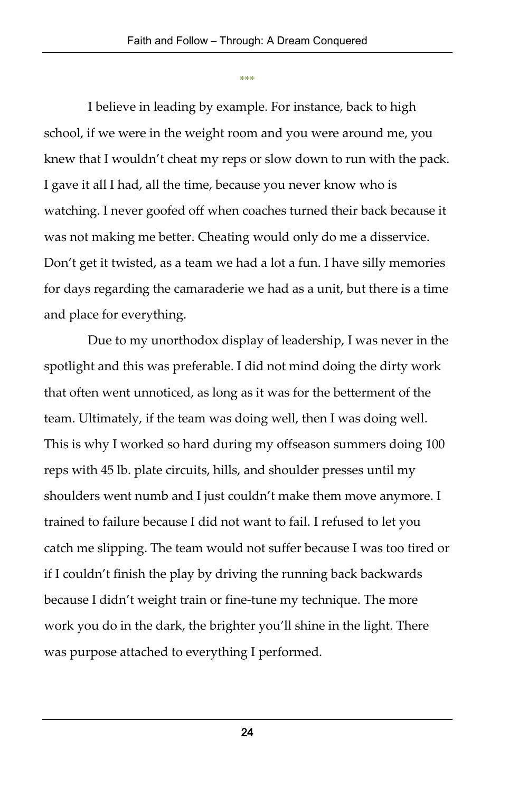\*\*\*

I believe in leading by example. For instance, back to high school, if we were in the weight room and you were around me, you knew that I wouldn't cheat my reps or slow down to run with the pack. I gave it all I had, all the time, because you never know who is watching. I never goofed off when coaches turned their back because it was not making me better. Cheating would only do me a disservice. Don't get it twisted, as a team we had a lot a fun. I have silly memories for days regarding the camaraderie we had as a unit, but there is a time and place for everything.

Due to my unorthodox display of leadership, I was never in the spotlight and this was preferable. I did not mind doing the dirty work that often went unnoticed, as long as it was for the betterment of the team. Ultimately, if the team was doing well, then I was doing well. This is why I worked so hard during my offseason summers doing 100 reps with 45 lb. plate circuits, hills, and shoulder presses until my shoulders went numb and I just couldn't make them move anymore. I trained to failure because I did not want to fail. I refused to let you catch me slipping. The team would not suffer because I was too tired or if I couldn't finish the play by driving the running back backwards because I didn't weight train or fine-tune my technique. The more work you do in the dark, the brighter you'll shine in the light. There was purpose attached to everything I performed.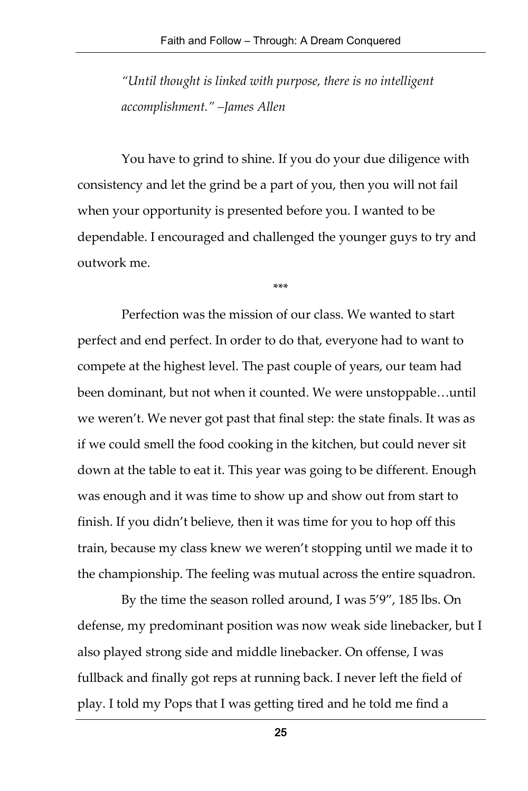*"Until thought is linked with purpose, there is no intelligent accomplishment." –James Allen*

You have to grind to shine. If you do your due diligence with consistency and let the grind be a part of you, then you will not fail when your opportunity is presented before you. I wanted to be dependable. I encouraged and challenged the younger guys to try and outwork me.

\*\*\*

Perfection was the mission of our class. We wanted to start perfect and end perfect. In order to do that, everyone had to want to compete at the highest level. The past couple of years, our team had been dominant, but not when it counted. We were unstoppable…until we weren't. We never got past that final step: the state finals. It was as if we could smell the food cooking in the kitchen, but could never sit down at the table to eat it. This year was going to be different. Enough was enough and it was time to show up and show out from start to finish. If you didn't believe, then it was time for you to hop off this train, because my class knew we weren't stopping until we made it to the championship. The feeling was mutual across the entire squadron.

By the time the season rolled around, I was 5'9", 185 lbs. On defense, my predominant position was now weak side linebacker, but I also played strong side and middle linebacker. On offense, I was fullback and finally got reps at running back. I never left the field of play. I told my Pops that I was getting tired and he told me find a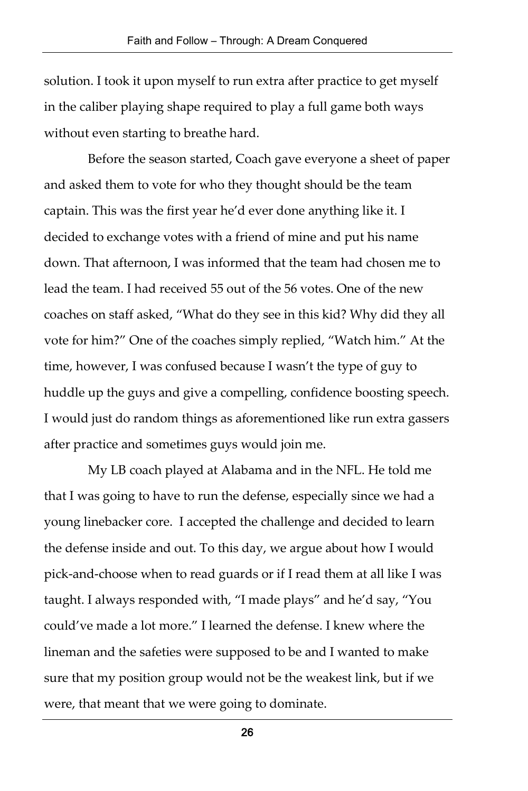solution. I took it upon myself to run extra after practice to get myself in the caliber playing shape required to play a full game both ways without even starting to breathe hard.

Before the season started, Coach gave everyone a sheet of paper and asked them to vote for who they thought should be the team captain. This was the first year he'd ever done anything like it. I decided to exchange votes with a friend of mine and put his name down. That afternoon, I was informed that the team had chosen me to lead the team. I had received 55 out of the 56 votes. One of the new coaches on staff asked, "What do they see in this kid? Why did they all vote for him?" One of the coaches simply replied, "Watch him." At the time, however, I was confused because I wasn't the type of guy to huddle up the guys and give a compelling, confidence boosting speech. I would just do random things as aforementioned like run extra gassers after practice and sometimes guys would join me.

My LB coach played at Alabama and in the NFL. He told me that I was going to have to run the defense, especially since we had a young linebacker core. I accepted the challenge and decided to learn the defense inside and out. To this day, we argue about how I would pick-and-choose when to read guards or if I read them at all like I was taught. I always responded with, "I made plays" and he'd say, "You could've made a lot more." I learned the defense. I knew where the lineman and the safeties were supposed to be and I wanted to make sure that my position group would not be the weakest link, but if we were, that meant that we were going to dominate.